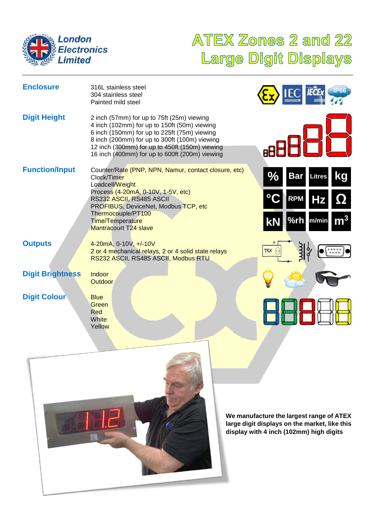

# **ATEX Zones 2 and 22** Large Digit Displays

| <b>Enclosure</b>        | 316L stainless steel<br>304 stainless steel<br>Painted mild steel                                                                                                                                                                                                                               |                             | <b>IP66</b>                                                                                    |
|-------------------------|-------------------------------------------------------------------------------------------------------------------------------------------------------------------------------------------------------------------------------------------------------------------------------------------------|-----------------------------|------------------------------------------------------------------------------------------------|
| <b>Digit Height</b>     | 2 inch (57mm) for up to 75ft (25m) viewing<br>4 inch (102mm) for up to 150ft (50m) viewing<br>6 inch (150mm) for up to 225ft (75m) viewing<br>8 inch (200mm) for up to 300ft (100m) viewing<br>12 inch (300mm) for up to 450ft (150m) viewing<br>16 inch (400mm) for up to 600ft (200m) viewing |                             |                                                                                                |
| <b>Function/Input</b>   | Counter/Rate (PNP, NPN, Namur, contact closure, etc)<br>Clock/Timer<br>Loadcell/Weight                                                                                                                                                                                                          | $\frac{0}{0}$<br><b>Bar</b> | kg<br><b>Litres</b>                                                                            |
|                         | Process (4-20mA, 0-10V, 1-5V, etc)<br>RS232 ASCII, RS485 ASCII<br>PROFIBUS, DeviceNet, Modbus TCP, etc                                                                                                                                                                                          | <b>RPM</b>                  | <u>id</u>                                                                                      |
|                         | Thermocouple/PT100<br>Time/Temperature<br><b>Mantracourt T24 slave</b>                                                                                                                                                                                                                          | KN                          | %rh m/min                                                                                      |
| <b>Outputs</b>          | 4-20mA, 0-10V, +/-10V<br>2 or 4 mechanical relays, 2 or 4 solid state relays<br>RS232 ASCII, RS485 ASCII, Modbus RTU                                                                                                                                                                            | <b>TRX</b>                  | $\begin{array}{cc} \circ & \circ & \circ & \circ \\ \circ & \circ & \circ & \circ \end{array}$ |
| <b>Digit Brightness</b> | Indoor<br><b>Outdoor</b>                                                                                                                                                                                                                                                                        |                             |                                                                                                |
| <b>Digit Colour</b>     | <b>Blue</b><br>Green<br>Red<br>White<br>Yellow                                                                                                                                                                                                                                                  |                             |                                                                                                |



**We manufacture the largest range of ATEX large digit displays on the market, like this display with 4 inch (102mm) high digits**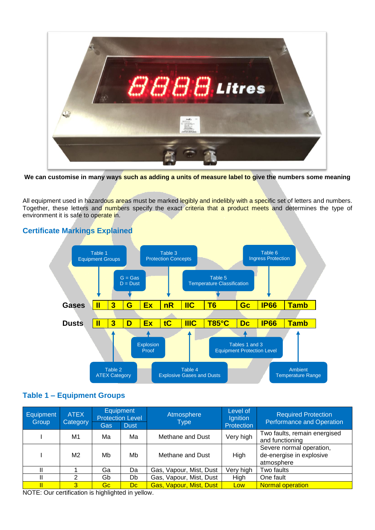

**We can customise in many ways such as adding a units of measure label to give the numbers some meaning**

All equipment used in hazardous areas must be marked legibly and indelibly with a specific set of letters and numbers. Together, these letters and numbers specify the exact criteria that a product meets and determines the type of environment it is safe to operate in.





#### **Table 1 – Equipment Groups**

| Equipment<br>Group                                     | <b>ATEX</b><br>Category | <b>Protection Level</b><br>Gas | <b>Equipment</b><br><b>Dust</b> | Atmosphere<br><b>Type</b> | Level of<br>Ignition<br>Protection | <b>Required Protection</b><br><b>Performance and Operation</b>     |
|--------------------------------------------------------|-------------------------|--------------------------------|---------------------------------|---------------------------|------------------------------------|--------------------------------------------------------------------|
|                                                        |                         |                                |                                 |                           |                                    |                                                                    |
|                                                        | M1                      | Ма                             | Ma                              | Methane and Dust          | Very high                          | Two faults, remain energised<br>and functioning                    |
|                                                        | M2                      | Mb                             | Mb                              | Methane and Dust          | High                               | Severe normal operation,<br>de-energise in explosive<br>atmosphere |
| Ш                                                      |                         | Ga                             | Da                              | Gas, Vapour, Mist, Dust   | Very high                          | Two faults                                                         |
|                                                        | 2                       | Gb                             | Db                              | Gas, Vapour, Mist, Dust   | High                               | One fault                                                          |
|                                                        | $\overline{3}$          | Gc.                            | Dc.                             | Gas, Vapour, Mist, Dust   | <b>Low</b>                         | <b>Normal operation</b>                                            |
| <b>NIGHT CONTRACT AND STREET AND RELEASED AT LCCC.</b> |                         |                                |                                 |                           |                                    |                                                                    |

NOTE: Our certification is highlighted in yellow.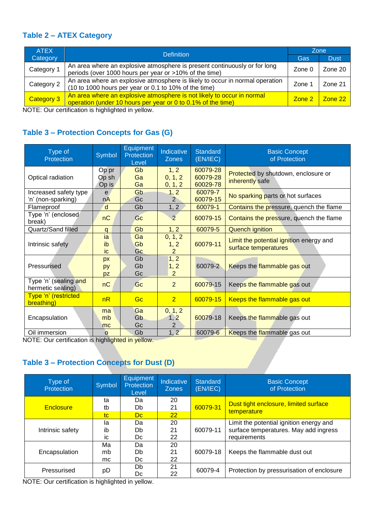#### **Table 2 – ATEX Category**

| <b>ATEX</b> | <b>Definition</b>                                                                                                                      | Zone        |              |  |  |
|-------------|----------------------------------------------------------------------------------------------------------------------------------------|-------------|--------------|--|--|
| Category    |                                                                                                                                        | Gas         | <b>Dust</b>  |  |  |
| Category 1  | An area where an explosive atmosphere is present continuously or for long<br>periods (over 1000 hours per year or >10% of the time)    | Zone 0      | Zone 20      |  |  |
| Category 2  | An area where an explosive atmosphere is likely to occur in normal operation<br>(10 to 1000 hours per year or 0.1 to 10% of the time)  | Zone        | Zone 21      |  |  |
| Category 3  | An area where an explosive atmosphere is not likely to occur in normal<br>operation (under 10 hours per year or 0 to 0.1% of the time) | $Z$ one $2$ | $Z$ one $22$ |  |  |

NOTE: Our certification is highlighted in yellow.

#### **Table 3 – Protection Concepts for Gas (G)**

| Type of<br>Protection                       | Symbol                  | <b>Equipment</b><br>Protection<br>Level | Indicative<br><b>Zones</b>        | <b>Standard</b><br>(EN/IEC)      | <b>Basic Concept</b><br>of Protection                           |
|---------------------------------------------|-------------------------|-----------------------------------------|-----------------------------------|----------------------------------|-----------------------------------------------------------------|
| Optical radiation                           | Op pr<br>Op sh<br>Op is | Gb<br>Ga<br>Ga                          | 1, 2<br>0, 1, 2<br>0, 1, 2        | 60079-28<br>60079-28<br>60029-78 | Protected by shutdown, enclosure or<br>inherently safe          |
| Increased safety type<br>'n' (non-sparking) | e<br>nA                 | Gb<br>Gc                                | 1, 2<br>$\overline{2}$            | 60079-7<br>60079-15              | No sparking parts or hot surfaces                               |
| Flameproof                                  | d                       | Gb                                      | 1, 2                              | 60079-1                          | Contains the pressure, quench the flame                         |
| Type 'n' (enclosed<br>break)                | nC                      | Gc                                      | $\overline{2}$                    | 60079-15                         | Contains the pressure, quench the flame                         |
| Quartz/Sand filled                          | q                       | Gb                                      | 1, 2                              | 60079-5                          | <b>Quench ignition</b>                                          |
| Intrinsic safety                            | ia<br>ib<br>ic          | Ga<br>Gb<br>Gc                          | 0, 1, 2<br>1, 2<br>$\overline{2}$ | 60079-11                         | Limit the potential ignition energy and<br>surface temperatures |
| <b>Pressurised</b>                          | px<br>py<br>pz          | Gb<br>Gb<br>Gc                          | 1, 2<br>1, 2<br>2                 | 60079-2                          | Keeps the flammable gas out                                     |
| Type 'n' (sealing and<br>hermetic sealing)  | nC                      | Gc                                      | 2                                 | 60079-15                         | Keeps the flammable gas out                                     |
| Type 'n' (restricted<br>breathing)          | nR                      | Gc                                      | $\overline{2}$                    | 60079-15                         | Keeps the flammable gas out                                     |
| Encapsulation                               | ma<br>mb<br>mc          | Ga<br>G <sub>b</sub><br>Gc              | 0, 1, 2<br>1, 2<br>2              | 60079-18                         | Keeps the flammable gas out                                     |
| Oil immersion                               | $\circ$                 | Gb                                      | 1, 2                              | 60079-6                          | Keeps the flammable gas out                                     |

NOTE: Our certification is highlighted in yellow.

## **Table 3 – Protection Concepts for Dust (D)**

| Type of<br>Protection | Symbol | <b>Equipment</b><br><b>Protection</b><br>Level | Indicative<br><b>Zones</b> | <b>Standard</b><br>(EN/IEC) | <b>Basic Concept</b><br>of Protection     |
|-----------------------|--------|------------------------------------------------|----------------------------|-----------------------------|-------------------------------------------|
|                       | ta     | Da                                             | 20                         |                             | Dust tight enclosure, limited surface     |
| Enclosure             | tb     | 60079-31<br>21<br>Db                           |                            |                             | temperature                               |
|                       | tc     | Dc                                             | 22                         |                             |                                           |
|                       | la     | Da.                                            | 20                         |                             | Limit the potential ignition energy and   |
| Intrinsic safety      | ib     | Db                                             | 21                         | 60079-11                    | surface temperatures. May add ingress     |
|                       | İC.    | Dc.                                            | 22                         |                             | requirements                              |
|                       | Ма     | Da                                             | 20                         |                             |                                           |
| Encapsulation         | mb     | Db                                             | 21                         | 60079-18                    | Keeps the flammable dust out              |
|                       | mc.    | Dc.                                            | 22                         |                             |                                           |
| Pressurised           |        | Db                                             | 21                         | 60079-4                     | Protection by pressurisation of enclosure |
|                       | рD     | Dc                                             | 22                         |                             |                                           |

NOTE: Our certification is highlighted in yellow.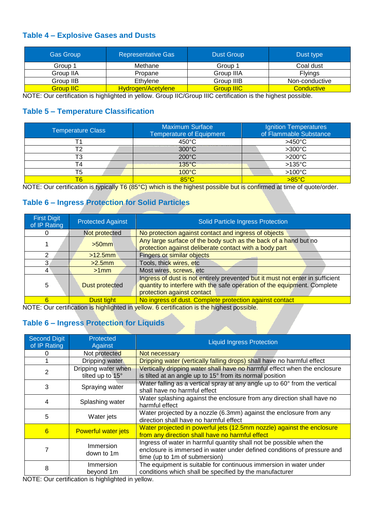#### **Table 4 – Explosive Gases and Dusts**

| <b>Gas Group</b> | <b>Representative Gas</b> | <b>Dust Group</b> | Dust type      |
|------------------|---------------------------|-------------------|----------------|
| Group 1          | Methane                   | Group 1           | Coal dust      |
| Group IIA        | Propane                   | Group IIIA        | <b>Flyings</b> |
| Group IIB        | Ethylene                  | Group IIIB        | Non-conductive |
| <b>Group IIC</b> | Hydrogen/Acetylene        | <b>Group IIIC</b> | Conductive     |

NOTE: Our certification is highlighted in yellow. Group IIC/Group IIIC certification is the highest possible.

#### **Table 5 – Temperature Classification**

| <b>Temperature Class</b> | <b>Maximum Surface</b><br><b>Temperature of Equipment</b> | Ignition Temperatures<br>of Flammable Substance |
|--------------------------|-----------------------------------------------------------|-------------------------------------------------|
|                          | $450^{\circ}$ C                                           | $>450^{\circ}$ C                                |
| т٥                       | $300^{\circ}$ C                                           | $>300^{\circ}$ C                                |
| тз                       | $200^{\circ}$ C                                           | $>200^{\circ}$ C                                |
|                          | $135^{\circ}$ C                                           | $>135^{\circ}$ C                                |
| T5                       | $100^{\circ}$ C                                           | $>100^{\circ}$ C                                |
|                          | $85^{\circ}$ C                                            | $>85^{\circ}$ C                                 |

NOTE: Our certification is typically T6 (85°C) which is the highest possible but is confirmed at time of quote/order.

#### **Table 6 – Ingress Protection for Solid Particles**

| <b>First Digit</b><br>of IP Rating | <b>Protected Against</b> | Solid Particle Ingress Protection                                                                                                                                                       |
|------------------------------------|--------------------------|-----------------------------------------------------------------------------------------------------------------------------------------------------------------------------------------|
|                                    | Not protected            | No protection against contact and ingress of objects                                                                                                                                    |
|                                    | $>50$ mm                 | Any large surface of the body such as the back of a hand but no<br>protection against deliberate contact with a body part                                                               |
| 2                                  | $>12.5$ mm               | Fingers or similar objects                                                                                                                                                              |
| 3                                  | $>2.5$ mm                | Tools, thick wires, etc                                                                                                                                                                 |
| 4                                  | $>1$ mm                  | Most wires, screws, etc                                                                                                                                                                 |
| 5                                  | Dust protected           | Ingress of dust is not entirely prevented but it must not enter in sufficient<br>quantity to interfere with the safe operation of the equipment. Complete<br>protection against contact |
| 6                                  | Dust tight               | No ingress of dust. Complete protection against contact                                                                                                                                 |

NOTE: Our certification is highlighted in yellow. 6 certification is the highest possible.

# **Table 6 – Ingress Protection for Liquids**

| <b>Second Digit</b><br>of IP Rating | Protected<br>Against                                                                                                                             | <b>Liquid Ingress Protection</b>                                                                                                                                                |
|-------------------------------------|--------------------------------------------------------------------------------------------------------------------------------------------------|---------------------------------------------------------------------------------------------------------------------------------------------------------------------------------|
|                                     | Not protected                                                                                                                                    | Not necessary                                                                                                                                                                   |
|                                     | Dripping water                                                                                                                                   | Dripping water (vertically falling drops) shall have no harmful effect                                                                                                          |
| 2                                   | Dripping water when<br>tilted up to 15°                                                                                                          | Vertically dripping water shall have no harmful effect when the enclosure<br>is tilted at an angle up to 15° from its normal position                                           |
| 3                                   | Spraying water                                                                                                                                   | Water falling as a vertical spray at any angle up to 60° from the vertical<br>shall have no harmful effect                                                                      |
| 4                                   | Splashing water                                                                                                                                  | Water splashing against the enclosure from any direction shall have no<br>harmful effect                                                                                        |
| 5                                   | Water jets                                                                                                                                       | Water projected by a nozzle (6.3mm) against the enclosure from any<br>direction shall have no harmful effect                                                                    |
| 6                                   | <b>Powerful water jets</b>                                                                                                                       | Water projected in powerful jets (12.5mm nozzle) against the enclosure<br>from any direction shall have no harmful effect                                                       |
|                                     | <b>Immersion</b><br>down to 1m                                                                                                                   | Ingress of water in harmful quantity shall not be possible when the<br>enclosure is immersed in water under defined conditions of pressure and<br>time (up to 1m of submersion) |
| 8                                   | Immersion<br>beyond 1m<br>$\mathsf{M}\mathsf{OPT}$ . $\mathsf{Q}_1$ , and a small continuous set in the limit of the state of the set of the set | The equipment is suitable for continuous immersion in water under<br>conditions which shall be specified by the manufacturer                                                    |

NOTE: Our certification is highlighted in yellow.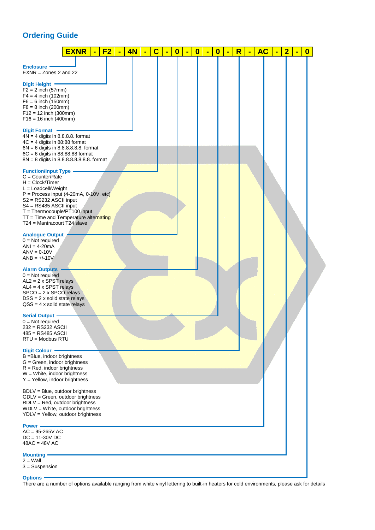# **Ordering Guide**

|                                                                                                                                                                                                                                                                                                                                                                                                                                                                                                                                                                                                                                                     | <b>EXNR</b> | $\blacksquare$ | F2 | $\blacksquare$ | 4N | $\blacksquare$ | $\mathbf C$ | $\blacksquare$ | $\overline{\mathbf{0}}$ | Ξ | $\bf{0}$ | $\blacksquare$ | $\bf{0}$ | ٠ | $\overline{\mathsf{R}}$ | $\blacksquare$ | <b>AC</b> | $\blacksquare$ | $\overline{\mathbf{2}}$ | $\blacksquare$ | $\bf{0}$ |
|-----------------------------------------------------------------------------------------------------------------------------------------------------------------------------------------------------------------------------------------------------------------------------------------------------------------------------------------------------------------------------------------------------------------------------------------------------------------------------------------------------------------------------------------------------------------------------------------------------------------------------------------------------|-------------|----------------|----|----------------|----|----------------|-------------|----------------|-------------------------|---|----------|----------------|----------|---|-------------------------|----------------|-----------|----------------|-------------------------|----------------|----------|
| <b>Enclosure</b><br>$EXNR = Zones 2 and 22$<br>Digit Height -<br>$F2 = 2$ inch (57mm)<br>$F4 = 4$ inch (102mm)<br>$F6 = 6$ inch (150mm)<br>$F8 = 8$ inch (200mm)<br>$F12 = 12$ inch (300mm)<br>$F16 = 16$ inch (400mm)<br><b>Digit Format</b><br>$4N = 4$ digits in 8.8.8.8. format<br>$4C = 4$ digits in 88:88 format<br>$6N = 6$ digits in 8.8.8.8.8.8. format<br>$6C = 6$ digits in 88:88:88 format<br>8N = 8 digits in 8.8.8.8.8.8.8.8 format<br><b>Function/Input Type</b><br>$C = Counter/Rate$<br>$H = Clock/Timer$<br>$L =$ Loadcell/Weight<br>$P =$ Process input (4-20mA, 0-10V, etc)<br>S2 = RS232 ASCII input<br>S4 = RS485 ASCII input |             |                |    |                |    |                |             |                |                         |   |          |                |          |   |                         |                |           |                |                         |                |          |
| $T = Thermocouple/PT100 input$<br>TT = Time and Temperature alternating<br>T24 = Mantracourt T24 slave<br><b>Analogue Output</b><br>$0 = Not required$<br>$ANI = 4-20mA$<br>$ANV = 0-10V$<br>$ANB = +/-10V$<br><b>Alarm Outputs</b><br>$0 = Not required$<br>$AL2 = 2 \times SPST$ relays<br>$AL4 = 4 \times SPST$ relays<br>$SPCO = 2 \times SPCO$ relays<br>$DSS = 2$ x solid state relays<br>$QSS = 4 \times solid state relays$                                                                                                                                                                                                                 |             |                |    |                |    |                |             |                |                         |   |          |                |          |   |                         |                |           |                |                         |                |          |
| <b>Serial Output</b> .<br>$0 = Not required$<br>232 = RS232 ASCII<br>$485 = RS485$ ASCII<br>$RTU = Modbus RTU$<br><b>Digit Colour -</b><br>B = Blue, indoor brightness<br>$G =$ Green, indoor brightness<br>$R = Red$ , indoor brightness<br>$W =$ White, indoor brightness<br>$Y = Y$ ellow, indoor brightness                                                                                                                                                                                                                                                                                                                                     |             |                |    |                |    |                |             |                |                         |   |          |                |          |   |                         |                |           |                |                         |                |          |
| BDLV = Blue, outdoor brightness<br>GDLV = Green, outdoor brightness<br>$RDLV = Red$ , outdoor brightness<br>WDLV = White, outdoor brightness<br>YDLV = Yellow, outdoor brightness<br>Power -<br>$AC = 95 - 265V AC$<br>$DC = 11-30V$ DC<br>$48AC = 48V AC$<br><b>Mounting</b>                                                                                                                                                                                                                                                                                                                                                                       |             |                |    |                |    |                |             |                |                         |   |          |                |          |   |                         |                |           |                |                         |                |          |
| $2 =$ Wall<br>$3 =$ Suspension<br><b>Options -</b>                                                                                                                                                                                                                                                                                                                                                                                                                                                                                                                                                                                                  |             |                |    |                |    |                |             |                |                         |   |          |                |          |   |                         |                |           |                |                         |                |          |

There are a number of options available ranging from white vinyl lettering to built-in heaters for cold environments, please ask for details